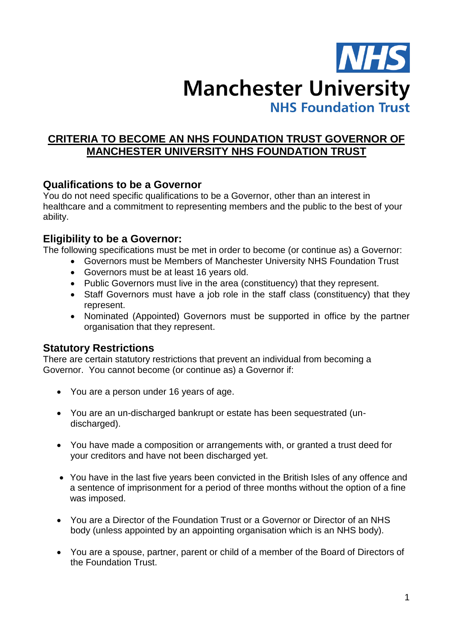

# **CRITERIA TO BECOME AN NHS FOUNDATION TRUST GOVERNOR OF MANCHESTER UNIVERSITY NHS FOUNDATION TRUST**

# **Qualifications to be a Governor**

You do not need specific qualifications to be a Governor, other than an interest in healthcare and a commitment to representing members and the public to the best of your ability.

# **Eligibility to be a Governor:**

The following specifications must be met in order to become (or continue as) a Governor:

- Governors must be Members of Manchester University NHS Foundation Trust
	- Governors must be at least 16 years old.
	- Public Governors must live in the area (constituency) that they represent.
- Staff Governors must have a job role in the staff class (constituency) that they represent.
- Nominated (Appointed) Governors must be supported in office by the partner organisation that they represent.

# **Statutory Restrictions**

There are certain statutory restrictions that prevent an individual from becoming a Governor. You cannot become (or continue as) a Governor if:

- You are a person under 16 years of age.
- You are an un-discharged bankrupt or estate has been sequestrated (undischarged).
- You have made a composition or arrangements with, or granted a trust deed for your creditors and have not been discharged yet.
- You have in the last five years been convicted in the British Isles of any offence and a sentence of imprisonment for a period of three months without the option of a fine was imposed.
- You are a Director of the Foundation Trust or a Governor or Director of an NHS body (unless appointed by an appointing organisation which is an NHS body).
- You are a spouse, partner, parent or child of a member of the Board of Directors of the Foundation Trust.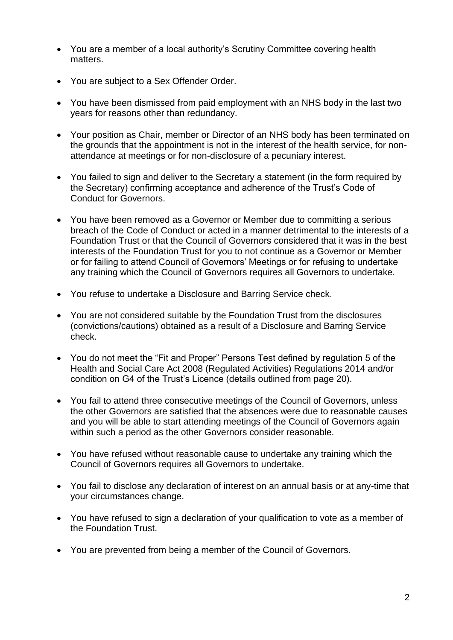- You are a member of a local authority's Scrutiny Committee covering health matters.
- You are subject to a Sex Offender Order.
- You have been dismissed from paid employment with an NHS body in the last two years for reasons other than redundancy.
- Your position as Chair, member or Director of an NHS body has been terminated on the grounds that the appointment is not in the interest of the health service, for nonattendance at meetings or for non-disclosure of a pecuniary interest.
- You failed to sign and deliver to the Secretary a statement (in the form required by the Secretary) confirming acceptance and adherence of the Trust's Code of Conduct for Governors.
- You have been removed as a Governor or Member due to committing a serious breach of the Code of Conduct or acted in a manner detrimental to the interests of a Foundation Trust or that the Council of Governors considered that it was in the best interests of the Foundation Trust for you to not continue as a Governor or Member or for failing to attend Council of Governors' Meetings or for refusing to undertake any training which the Council of Governors requires all Governors to undertake.
- You refuse to undertake a Disclosure and Barring Service check.
- You are not considered suitable by the Foundation Trust from the disclosures (convictions/cautions) obtained as a result of a Disclosure and Barring Service check.
- You do not meet the "Fit and Proper" Persons Test defined by regulation 5 of the Health and Social Care Act 2008 (Regulated Activities) Regulations 2014 and/or condition on G4 of the Trust's Licence (details outlined from page 20).
- You fail to attend three consecutive meetings of the Council of Governors, unless the other Governors are satisfied that the absences were due to reasonable causes and you will be able to start attending meetings of the Council of Governors again within such a period as the other Governors consider reasonable.
- You have refused without reasonable cause to undertake any training which the Council of Governors requires all Governors to undertake.
- You fail to disclose any declaration of interest on an annual basis or at any-time that your circumstances change.
- You have refused to sign a declaration of your qualification to vote as a member of the Foundation Trust.
- You are prevented from being a member of the Council of Governors.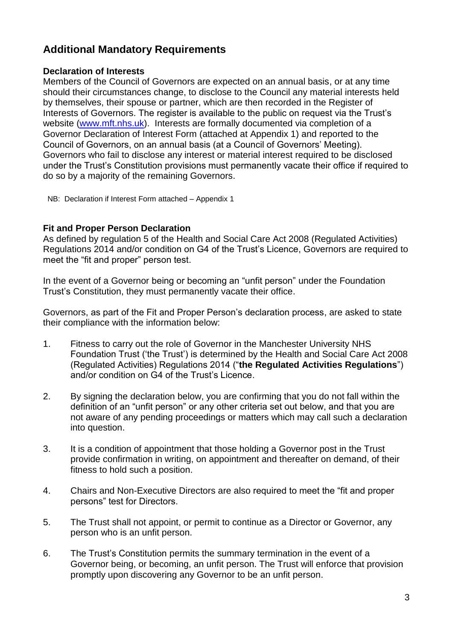# **Additional Mandatory Requirements**

## **Declaration of Interests**

Members of the Council of Governors are expected on an annual basis, or at any time should their circumstances change, to disclose to the Council any material interests held by themselves, their spouse or partner, which are then recorded in the Register of Interests of Governors. The register is available to the public on request via the Trust's website [\(www.mft.nhs.uk\)](http://www.mft.nhs.uk/). Interests are formally documented via completion of a Governor Declaration of Interest Form (attached at Appendix 1) and reported to the Council of Governors, on an annual basis (at a Council of Governors' Meeting). Governors who fail to disclose any interest or material interest required to be disclosed under the Trust's Constitution provisions must permanently vacate their office if required to do so by a majority of the remaining Governors.

NB: Declaration if Interest Form attached – Appendix 1

## **Fit and Proper Person Declaration**

As defined by regulation 5 of the Health and Social Care Act 2008 (Regulated Activities) Regulations 2014 and/or condition on G4 of the Trust's Licence, Governors are required to meet the "fit and proper" person test.

In the event of a Governor being or becoming an "unfit person" under the Foundation Trust's Constitution, they must permanently vacate their office.

Governors, as part of the Fit and Proper Person's declaration process, are asked to state their compliance with the information below:

- 1. Fitness to carry out the role of Governor in the Manchester University NHS Foundation Trust ('the Trust') is determined by the Health and Social Care Act 2008 (Regulated Activities) Regulations 2014 ("**the Regulated Activities Regulations**") and/or condition on G4 of the Trust's Licence.
- 2. By signing the declaration below, you are confirming that you do not fall within the definition of an "unfit person" or any other criteria set out below, and that you are not aware of any pending proceedings or matters which may call such a declaration into question.
- 3. It is a condition of appointment that those holding a Governor post in the Trust provide confirmation in writing, on appointment and thereafter on demand, of their fitness to hold such a position.
- 4. Chairs and Non-Executive Directors are also required to meet the "fit and proper persons" test for Directors.
- 5. The Trust shall not appoint, or permit to continue as a Director or Governor, any person who is an unfit person.
- 6. The Trust's Constitution permits the summary termination in the event of a Governor being, or becoming, an unfit person. The Trust will enforce that provision promptly upon discovering any Governor to be an unfit person.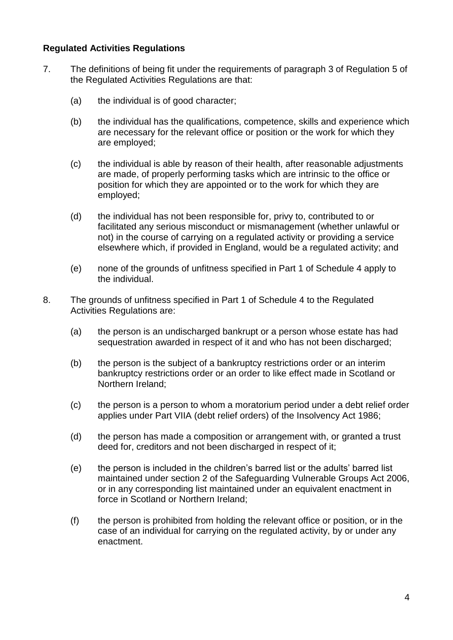## **Regulated Activities Regulations**

- 7. The definitions of being fit under the requirements of paragraph 3 of Regulation 5 of the Regulated Activities Regulations are that:
	- (a) the individual is of good character;
	- (b) the individual has the qualifications, competence, skills and experience which are necessary for the relevant office or position or the work for which they are employed;
	- (c) the individual is able by reason of their health, after reasonable adjustments are made, of properly performing tasks which are intrinsic to the office or position for which they are appointed or to the work for which they are employed;
	- (d) the individual has not been responsible for, privy to, contributed to or facilitated any serious misconduct or mismanagement (whether unlawful or not) in the course of carrying on a regulated activity or providing a service elsewhere which, if provided in England, would be a regulated activity; and
	- (e) none of the grounds of unfitness specified in Part 1 of Schedule 4 apply to the individual.
- 8. The grounds of unfitness specified in Part 1 of Schedule 4 to the Regulated Activities Regulations are:
	- (a) the person is an undischarged bankrupt or a person whose estate has had sequestration awarded in respect of it and who has not been discharged;
	- (b) the person is the subject of a bankruptcy restrictions order or an interim bankruptcy restrictions order or an order to like effect made in Scotland or Northern Ireland;
	- (c) the person is a person to whom a moratorium period under a debt relief order applies under Part VIIA (debt relief orders) of the Insolvency Act 1986;
	- (d) the person has made a composition or arrangement with, or granted a trust deed for, creditors and not been discharged in respect of it;
	- (e) the person is included in the children's barred list or the adults' barred list maintained under section 2 of the Safeguarding Vulnerable Groups Act 2006, or in any corresponding list maintained under an equivalent enactment in force in Scotland or Northern Ireland;
	- (f) the person is prohibited from holding the relevant office or position, or in the case of an individual for carrying on the regulated activity, by or under any enactment.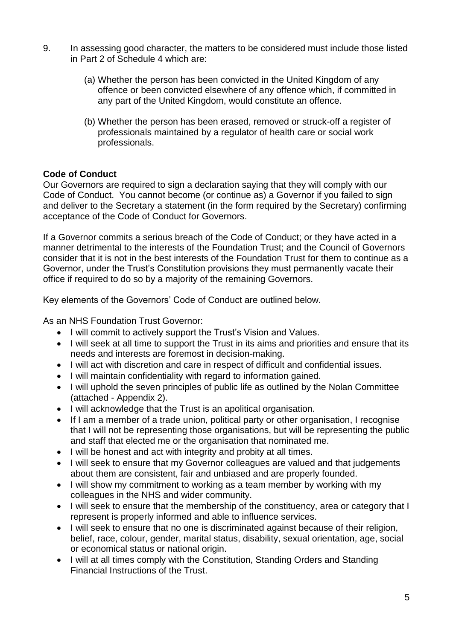- 9. In assessing good character, the matters to be considered must include those listed in Part 2 of Schedule 4 which are:
	- (a) Whether the person has been convicted in the United Kingdom of any offence or been convicted elsewhere of any offence which, if committed in any part of the United Kingdom, would constitute an offence.
	- (b) Whether the person has been erased, removed or struck-off a register of professionals maintained by a regulator of health care or social work professionals.

# **Code of Conduct**

Our Governors are required to sign a declaration saying that they will comply with our Code of Conduct. You cannot become (or continue as) a Governor if you failed to sign and deliver to the Secretary a statement (in the form required by the Secretary) confirming acceptance of the Code of Conduct for Governors.

If a Governor commits a serious breach of the Code of Conduct; or they have acted in a manner detrimental to the interests of the Foundation Trust; and the Council of Governors consider that it is not in the best interests of the Foundation Trust for them to continue as a Governor, under the Trust's Constitution provisions they must permanently vacate their office if required to do so by a majority of the remaining Governors.

Key elements of the Governors' Code of Conduct are outlined below.

As an NHS Foundation Trust Governor:

- I will commit to actively support the Trust's Vision and Values.
- I will seek at all time to support the Trust in its aims and priorities and ensure that its needs and interests are foremost in decision-making.
- I will act with discretion and care in respect of difficult and confidential issues.
- I will maintain confidentiality with regard to information gained.
- I will uphold the seven principles of public life as outlined by the Nolan Committee (attached - Appendix 2).
- I will acknowledge that the Trust is an apolitical organisation.
- If I am a member of a trade union, political party or other organisation, I recognise that I will not be representing those organisations, but will be representing the public and staff that elected me or the organisation that nominated me.
- I will be honest and act with integrity and probity at all times.
- I will seek to ensure that my Governor colleagues are valued and that judgements about them are consistent, fair and unbiased and are properly founded.
- I will show my commitment to working as a team member by working with my colleagues in the NHS and wider community.
- I will seek to ensure that the membership of the constituency, area or category that I represent is properly informed and able to influence services.
- I will seek to ensure that no one is discriminated against because of their religion, belief, race, colour, gender, marital status, disability, sexual orientation, age, social or economical status or national origin.
- I will at all times comply with the Constitution, Standing Orders and Standing Financial Instructions of the Trust.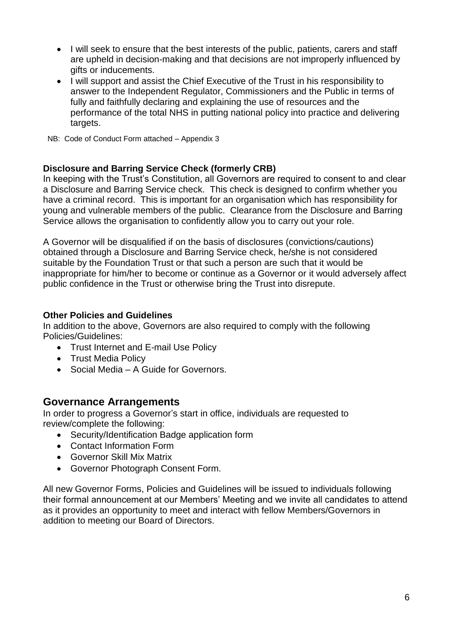- I will seek to ensure that the best interests of the public, patients, carers and staff are upheld in decision-making and that decisions are not improperly influenced by gifts or inducements.
- I will support and assist the Chief Executive of the Trust in his responsibility to answer to the Independent Regulator, Commissioners and the Public in terms of fully and faithfully declaring and explaining the use of resources and the performance of the total NHS in putting national policy into practice and delivering targets.
- NB: Code of Conduct Form attached Appendix 3

# **Disclosure and Barring Service Check (formerly CRB)**

In keeping with the Trust's Constitution, all Governors are required to consent to and clear a Disclosure and Barring Service check. This check is designed to confirm whether you have a criminal record. This is important for an organisation which has responsibility for young and vulnerable members of the public. Clearance from the Disclosure and Barring Service allows the organisation to confidently allow you to carry out your role.

A Governor will be disqualified if on the basis of disclosures (convictions/cautions) obtained through a Disclosure and Barring Service check, he/she is not considered suitable by the Foundation Trust or that such a person are such that it would be inappropriate for him/her to become or continue as a Governor or it would adversely affect public confidence in the Trust or otherwise bring the Trust into disrepute.

# **Other Policies and Guidelines**

In addition to the above, Governors are also required to comply with the following Policies/Guidelines:

- Trust Internet and E-mail Use Policy
- Trust Media Policy
- Social Media A Guide for Governors.

# **Governance Arrangements**

In order to progress a Governor's start in office, individuals are requested to review/complete the following:

- Security/Identification Badge application form
- Contact Information Form
- Governor Skill Mix Matrix
- Governor Photograph Consent Form.

All new Governor Forms, Policies and Guidelines will be issued to individuals following their formal announcement at our Members' Meeting and we invite all candidates to attend as it provides an opportunity to meet and interact with fellow Members/Governors in addition to meeting our Board of Directors.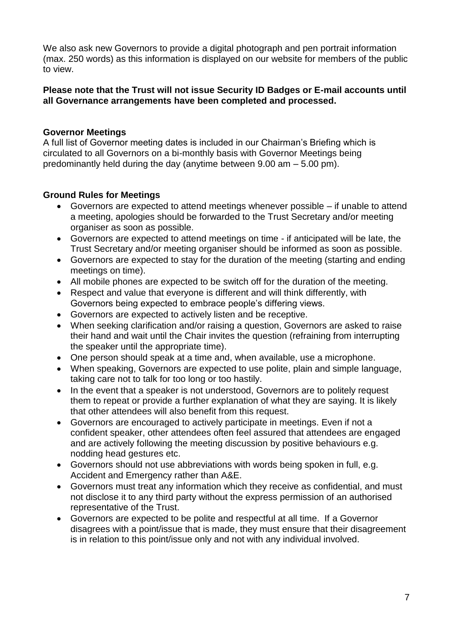We also ask new Governors to provide a digital photograph and pen portrait information (max. 250 words) as this information is displayed on our website for members of the public to view.

### **Please note that the Trust will not issue Security ID Badges or E-mail accounts until all Governance arrangements have been completed and processed.**

## **Governor Meetings**

A full list of Governor meeting dates is included in our Chairman's Briefing which is circulated to all Governors on a bi-monthly basis with Governor Meetings being predominantly held during the day (anytime between 9.00 am – 5.00 pm).

## **Ground Rules for Meetings**

- Governors are expected to attend meetings whenever possible if unable to attend a meeting, apologies should be forwarded to the Trust Secretary and/or meeting organiser as soon as possible.
- Governors are expected to attend meetings on time if anticipated will be late, the Trust Secretary and/or meeting organiser should be informed as soon as possible.
- Governors are expected to stay for the duration of the meeting (starting and ending meetings on time).
- All mobile phones are expected to be switch off for the duration of the meeting.
- Respect and value that everyone is different and will think differently, with Governors being expected to embrace people's differing views.
- Governors are expected to actively listen and be receptive.
- When seeking clarification and/or raising a question, Governors are asked to raise their hand and wait until the Chair invites the question (refraining from interrupting the speaker until the appropriate time).
- One person should speak at a time and, when available, use a microphone.
- When speaking, Governors are expected to use polite, plain and simple language, taking care not to talk for too long or too hastily.
- In the event that a speaker is not understood, Governors are to politely request them to repeat or provide a further explanation of what they are saying. It is likely that other attendees will also benefit from this request.
- Governors are encouraged to actively participate in meetings. Even if not a confident speaker, other attendees often feel assured that attendees are engaged and are actively following the meeting discussion by positive behaviours e.g. nodding head gestures etc.
- Governors should not use abbreviations with words being spoken in full, e.g. Accident and Emergency rather than A&E.
- Governors must treat any information which they receive as confidential, and must not disclose it to any third party without the express permission of an authorised representative of the Trust.
- Governors are expected to be polite and respectful at all time. If a Governor disagrees with a point/issue that is made, they must ensure that their disagreement is in relation to this point/issue only and not with any individual involved.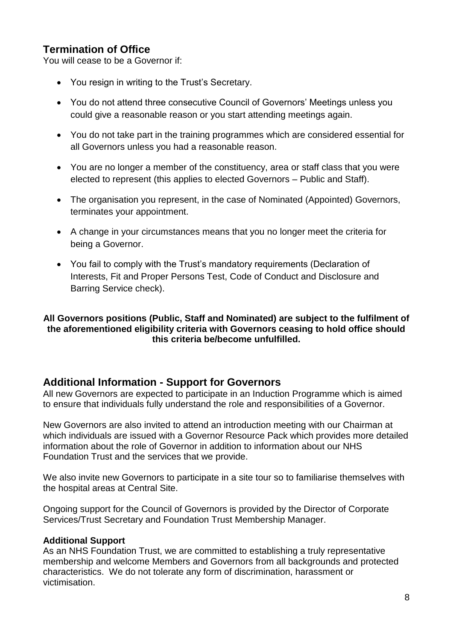# **Termination of Office**

You will cease to be a Governor if:

- You resign in writing to the Trust's Secretary.
- You do not attend three consecutive Council of Governors' Meetings unless you could give a reasonable reason or you start attending meetings again.
- You do not take part in the training programmes which are considered essential for all Governors unless you had a reasonable reason.
- You are no longer a member of the constituency, area or staff class that you were elected to represent (this applies to elected Governors – Public and Staff).
- The organisation you represent, in the case of Nominated (Appointed) Governors, terminates your appointment.
- A change in your circumstances means that you no longer meet the criteria for being a Governor.
- You fail to comply with the Trust's mandatory requirements (Declaration of Interests, Fit and Proper Persons Test, Code of Conduct and Disclosure and Barring Service check).

## **All Governors positions (Public, Staff and Nominated) are subject to the fulfilment of the aforementioned eligibility criteria with Governors ceasing to hold office should this criteria be/become unfulfilled.**

# **Additional Information - Support for Governors**

All new Governors are expected to participate in an Induction Programme which is aimed to ensure that individuals fully understand the role and responsibilities of a Governor.

New Governors are also invited to attend an introduction meeting with our Chairman at which individuals are issued with a Governor Resource Pack which provides more detailed information about the role of Governor in addition to information about our NHS Foundation Trust and the services that we provide.

We also invite new Governors to participate in a site tour so to familiarise themselves with the hospital areas at Central Site.

Ongoing support for the Council of Governors is provided by the Director of Corporate Services/Trust Secretary and Foundation Trust Membership Manager.

# **Additional Support**

As an NHS Foundation Trust, we are committed to establishing a truly representative membership and welcome Members and Governors from all backgrounds and protected characteristics. We do not tolerate any form of discrimination, harassment or victimisation.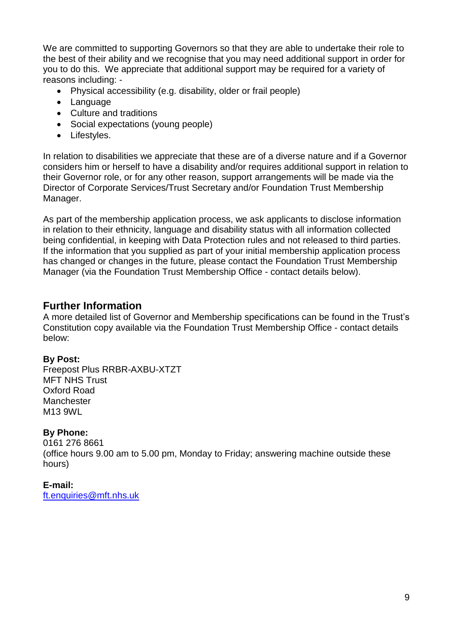We are committed to supporting Governors so that they are able to undertake their role to the best of their ability and we recognise that you may need additional support in order for you to do this. We appreciate that additional support may be required for a variety of reasons including: -

- Physical accessibility (e.g. disability, older or frail people)
- Language
- Culture and traditions
- Social expectations (young people)
- Lifestyles.

In relation to disabilities we appreciate that these are of a diverse nature and if a Governor considers him or herself to have a disability and/or requires additional support in relation to their Governor role, or for any other reason, support arrangements will be made via the Director of Corporate Services/Trust Secretary and/or Foundation Trust Membership Manager.

As part of the membership application process, we ask applicants to disclose information in relation to their ethnicity, language and disability status with all information collected being confidential, in keeping with Data Protection rules and not released to third parties. If the information that you supplied as part of your initial membership application process has changed or changes in the future, please contact the Foundation Trust Membership Manager (via the Foundation Trust Membership Office - contact details below).

# **Further Information**

A more detailed list of Governor and Membership specifications can be found in the Trust's Constitution copy available via the Foundation Trust Membership Office - contact details below:

# **By Post:**

Freepost Plus RRBR-AXBU-XTZT MFT NHS Trust Oxford Road **Manchester** M13 9WL

# **By Phone:**

0161 276 8661 (office hours 9.00 am to 5.00 pm, Monday to Friday; answering machine outside these hours)

**E-mail:**  [ft.enquiries@mft.nhs.uk](mailto:ft.enquiries@mft.nhs.uk)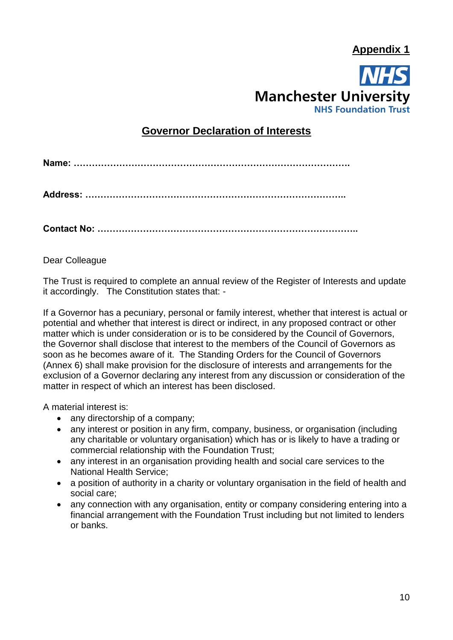**Appendix 1**



# **Governor Declaration of Interests**

**Name: ……………………………………………………………………………….**

**Contact No: …………………………………………………………………………..**

Dear Colleague

The Trust is required to complete an annual review of the Register of Interests and update it accordingly. The Constitution states that: -

If a Governor has a pecuniary, personal or family interest, whether that interest is actual or potential and whether that interest is direct or indirect, in any proposed contract or other matter which is under consideration or is to be considered by the Council of Governors, the Governor shall disclose that interest to the members of the Council of Governors as soon as he becomes aware of it. The Standing Orders for the Council of Governors (Annex 6) shall make provision for the disclosure of interests and arrangements for the exclusion of a Governor declaring any interest from any discussion or consideration of the matter in respect of which an interest has been disclosed.

A material interest is:

- any directorship of a company;
- any interest or position in any firm, company, business, or organisation (including any charitable or voluntary organisation) which has or is likely to have a trading or commercial relationship with the Foundation Trust;
- any interest in an organisation providing health and social care services to the National Health Service;
- a position of authority in a charity or voluntary organisation in the field of health and social care;
- any connection with any organisation, entity or company considering entering into a financial arrangement with the Foundation Trust including but not limited to lenders or banks.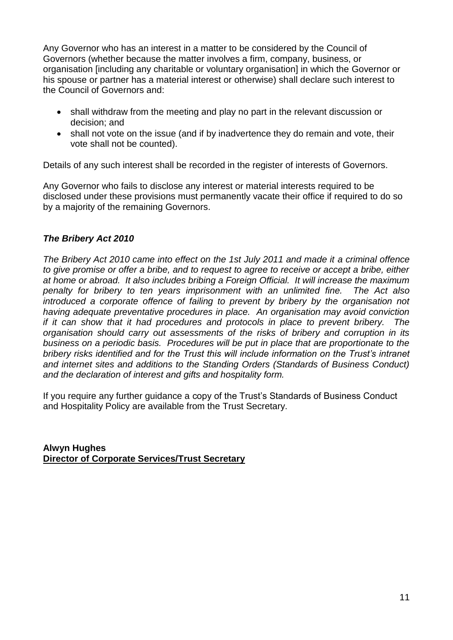Any Governor who has an interest in a matter to be considered by the Council of Governors (whether because the matter involves a firm, company, business, or organisation [including any charitable or voluntary organisation] in which the Governor or his spouse or partner has a material interest or otherwise) shall declare such interest to the Council of Governors and:

- shall withdraw from the meeting and play no part in the relevant discussion or decision; and
- shall not vote on the issue (and if by inadvertence they do remain and vote, their vote shall not be counted).

Details of any such interest shall be recorded in the register of interests of Governors.

Any Governor who fails to disclose any interest or material interests required to be disclosed under these provisions must permanently vacate their office if required to do so by a majority of the remaining Governors.

# *The Bribery Act 2010*

*The Bribery Act 2010 came into effect on the 1st July 2011 and made it a criminal offence to give promise or offer a bribe, and to request to agree to receive or accept a bribe, either at home or abroad. It also includes bribing a Foreign Official. It will increase the maximum penalty for bribery to ten years imprisonment with an unlimited fine. The Act also introduced a corporate offence of failing to prevent by bribery by the organisation not having adequate preventative procedures in place. An organisation may avoid conviction if it can show that it had procedures and protocols in place to prevent bribery. The organisation should carry out assessments of the risks of bribery and corruption in its business on a periodic basis. Procedures will be put in place that are proportionate to the bribery risks identified and for the Trust this will include information on the Trust's intranet and internet sites and additions to the Standing Orders (Standards of Business Conduct) and the declaration of interest and gifts and hospitality form.*

If you require any further guidance a copy of the Trust's Standards of Business Conduct and Hospitality Policy are available from the Trust Secretary.

**Alwyn Hughes Director of Corporate Services/Trust Secretary**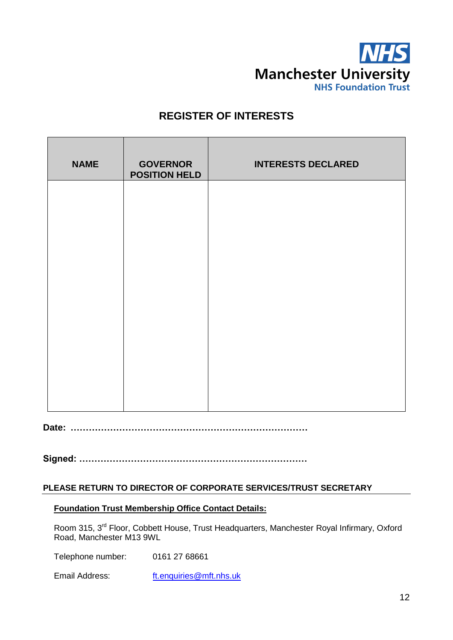

# **REGISTER OF INTERESTS**

| <b>NAME</b> | <b>GOVERNOR</b><br><b>POSITION HELD</b> | <b>INTERESTS DECLARED</b> |
|-------------|-----------------------------------------|---------------------------|
|             |                                         |                           |
|             |                                         |                           |
|             |                                         |                           |
|             |                                         |                           |
|             |                                         |                           |
|             |                                         |                           |

**Date: ……………………………………………………………………**

**Signed: …………………………………………………………………**

#### **PLEASE RETURN TO DIRECTOR OF CORPORATE SERVICES/TRUST SECRETARY**

#### **Foundation Trust Membership Office Contact Details:**

Room 315, 3<sup>rd</sup> Floor, Cobbett House, Trust Headquarters, Manchester Royal Infirmary, Oxford Road, Manchester M13 9WL

Telephone number: 0161 27 68661

Email Address: [ft.enquiries@mft.nhs.uk](mailto:ft.enquiries@mft.nhs.uk)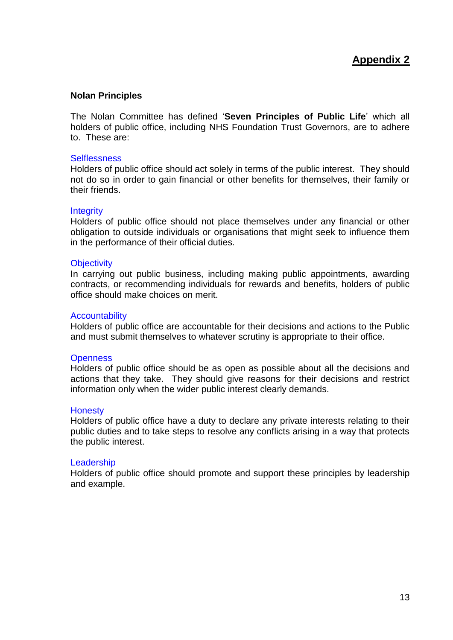#### **Nolan Principles**

The Nolan Committee has defined '**Seven Principles of Public Life**' which all holders of public office, including NHS Foundation Trust Governors, are to adhere to. These are:

#### **Selflessness**

Holders of public office should act solely in terms of the public interest. They should not do so in order to gain financial or other benefits for themselves, their family or their friends.

#### **Integrity**

Holders of public office should not place themselves under any financial or other obligation to outside individuals or organisations that might seek to influence them in the performance of their official duties.

#### **Objectivity**

In carrying out public business, including making public appointments, awarding contracts, or recommending individuals for rewards and benefits, holders of public office should make choices on merit.

#### **Accountability**

Holders of public office are accountable for their decisions and actions to the Public and must submit themselves to whatever scrutiny is appropriate to their office.

#### **Openness**

Holders of public office should be as open as possible about all the decisions and actions that they take. They should give reasons for their decisions and restrict information only when the wider public interest clearly demands.

#### **Honesty**

Holders of public office have a duty to declare any private interests relating to their public duties and to take steps to resolve any conflicts arising in a way that protects the public interest.

#### **Leadership**

Holders of public office should promote and support these principles by leadership and example.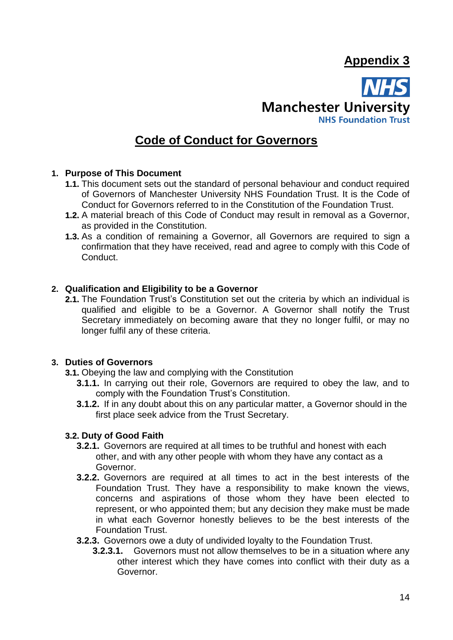# **Appendix 3**



# **Code of Conduct for Governors**

#### **1. Purpose of This Document**

- **1.1.** This document sets out the standard of personal behaviour and conduct required of Governors of Manchester University NHS Foundation Trust. It is the Code of Conduct for Governors referred to in the Constitution of the Foundation Trust.
- **1.2.** A material breach of this Code of Conduct may result in removal as a Governor, as provided in the Constitution.
- **1.3.** As a condition of remaining a Governor, all Governors are required to sign a confirmation that they have received, read and agree to comply with this Code of Conduct.

#### **2. Qualification and Eligibility to be a Governor**

**2.1.** The Foundation Trust's Constitution set out the criteria by which an individual is qualified and eligible to be a Governor. A Governor shall notify the Trust Secretary immediately on becoming aware that they no longer fulfil, or may no longer fulfil any of these criteria.

#### **3. Duties of Governors**

- **3.1.** Obeying the law and complying with the Constitution
	- **3.1.1.** In carrying out their role, Governors are required to obey the law, and to comply with the Foundation Trust's Constitution.
	- **3.1.2.** If in any doubt about this on any particular matter, a Governor should in the first place seek advice from the Trust Secretary.

#### **3.2. Duty of Good Faith**

- **3.2.1.** Governors are required at all times to be truthful and honest with each other, and with any other people with whom they have any contact as a Governor.
- **3.2.2.** Governors are required at all times to act in the best interests of the Foundation Trust. They have a responsibility to make known the views, concerns and aspirations of those whom they have been elected to represent, or who appointed them; but any decision they make must be made in what each Governor honestly believes to be the best interests of the Foundation Trust.
- **3.2.3.** Governors owe a duty of undivided loyalty to the Foundation Trust.
	- **3.2.3.1.** Governors must not allow themselves to be in a situation where any other interest which they have comes into conflict with their duty as a Governor.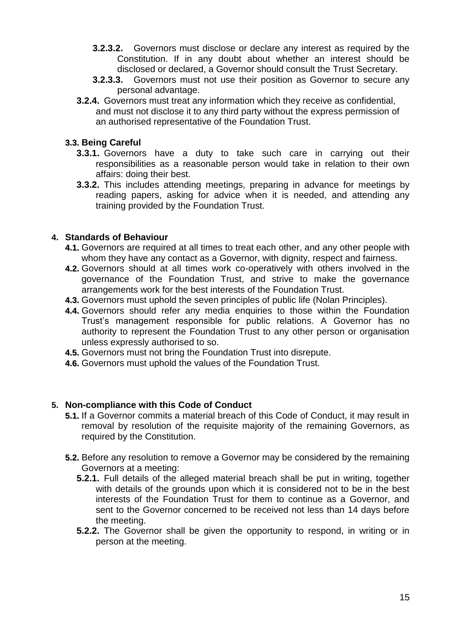- **3.2.3.2.** Governors must disclose or declare any interest as required by the Constitution. If in any doubt about whether an interest should be disclosed or declared, a Governor should consult the Trust Secretary.
- **3.2.3.3.** Governors must not use their position as Governor to secure any personal advantage.
- **3.2.4.** Governors must treat any information which they receive as confidential, and must not disclose it to any third party without the express permission of an authorised representative of the Foundation Trust.

## **3.3. Being Careful**

- **3.3.1.** Governors have a duty to take such care in carrying out their responsibilities as a reasonable person would take in relation to their own affairs: doing their best.
- **3.3.2.** This includes attending meetings, preparing in advance for meetings by reading papers, asking for advice when it is needed, and attending any training provided by the Foundation Trust.

## **4. Standards of Behaviour**

- **4.1.** Governors are required at all times to treat each other, and any other people with whom they have any contact as a Governor, with dignity, respect and fairness.
- **4.2.** Governors should at all times work co-operatively with others involved in the governance of the Foundation Trust, and strive to make the governance arrangements work for the best interests of the Foundation Trust.
- **4.3.** Governors must uphold the seven principles of public life (Nolan Principles).
- **4.4.** Governors should refer any media enquiries to those within the Foundation Trust's management responsible for public relations. A Governor has no authority to represent the Foundation Trust to any other person or organisation unless expressly authorised to so.
- **4.5.** Governors must not bring the Foundation Trust into disrepute.
- **4.6.** Governors must uphold the values of the Foundation Trust.

#### **5. Non-compliance with this Code of Conduct**

- **5.1.** If a Governor commits a material breach of this Code of Conduct, it may result in removal by resolution of the requisite majority of the remaining Governors, as required by the Constitution.
- **5.2.** Before any resolution to remove a Governor may be considered by the remaining Governors at a meeting:
	- **5.2.1.** Full details of the alleged material breach shall be put in writing, together with details of the grounds upon which it is considered not to be in the best interests of the Foundation Trust for them to continue as a Governor, and sent to the Governor concerned to be received not less than 14 days before the meeting.
	- **5.2.2.** The Governor shall be given the opportunity to respond, in writing or in person at the meeting.